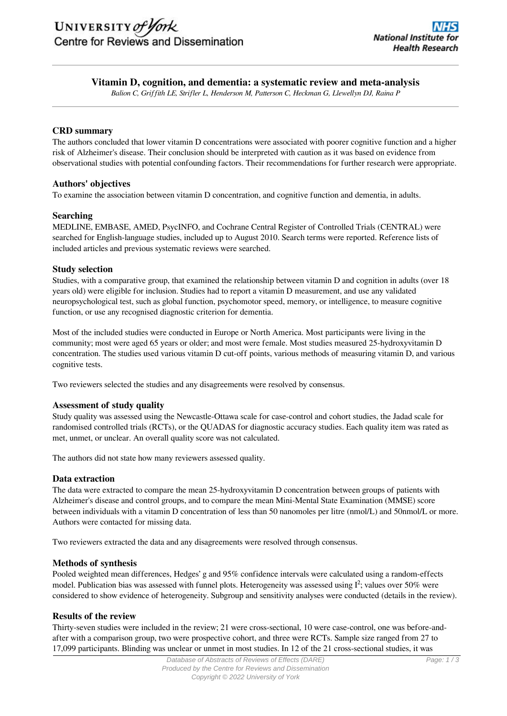# **Vitamin D, cognition, and dementia: a systematic review and meta-analysis**

*Balion C, Griffith LE, Strifler L, Henderson M, Patterson C, Heckman G, Llewellyn DJ, Raina P*

## **CRD summary**

The authors concluded that lower vitamin D concentrations were associated with poorer cognitive function and a higher risk of Alzheimer's disease. Their conclusion should be interpreted with caution as it was based on evidence from observational studies with potential confounding factors. Their recommendations for further research were appropriate.

## **Authors' objectives**

To examine the association between vitamin D concentration, and cognitive function and dementia, in adults.

## **Searching**

MEDLINE, EMBASE, AMED, PsycINFO, and Cochrane Central Register of Controlled Trials (CENTRAL) were searched for English-language studies, included up to August 2010. Search terms were reported. Reference lists of included articles and previous systematic reviews were searched.

## **Study selection**

Studies, with a comparative group, that examined the relationship between vitamin D and cognition in adults (over 18 years old) were eligible for inclusion. Studies had to report a vitamin D measurement, and use any validated neuropsychological test, such as global function, psychomotor speed, memory, or intelligence, to measure cognitive function, or use any recognised diagnostic criterion for dementia.

Most of the included studies were conducted in Europe or North America. Most participants were living in the community; most were aged 65 years or older; and most were female. Most studies measured 25-hydroxyvitamin D concentration. The studies used various vitamin D cut-off points, various methods of measuring vitamin D, and various cognitive tests.

Two reviewers selected the studies and any disagreements were resolved by consensus.

### **Assessment of study quality**

Study quality was assessed using the Newcastle-Ottawa scale for case-control and cohort studies, the Jadad scale for randomised controlled trials (RCTs), or the QUADAS for diagnostic accuracy studies. Each quality item was rated as met, unmet, or unclear. An overall quality score was not calculated.

The authors did not state how many reviewers assessed quality.

### **Data extraction**

The data were extracted to compare the mean 25-hydroxyvitamin D concentration between groups of patients with Alzheimer's disease and control groups, and to compare the mean Mini-Mental State Examination (MMSE) score between individuals with a vitamin D concentration of less than 50 nanomoles per litre (nmol/L) and 50nmol/L or more. Authors were contacted for missing data.

Two reviewers extracted the data and any disagreements were resolved through consensus.

### **Methods of synthesis**

Pooled weighted mean differences, Hedges' g and 95% confidence intervals were calculated using a random-effects model. Publication bias was assessed with funnel plots. Heterogeneity was assessed using  $I^2$ ; values over 50% were considered to show evidence of heterogeneity. Subgroup and sensitivity analyses were conducted (details in the review).

### **Results of the review**

Thirty-seven studies were included in the review; 21 were cross-sectional, 10 were case-control, one was before-andafter with a comparison group, two were prospective cohort, and three were RCTs. Sample size ranged from 27 to 17,099 participants. Blinding was unclear or unmet in most studies. In 12 of the 21 cross-sectional studies, it was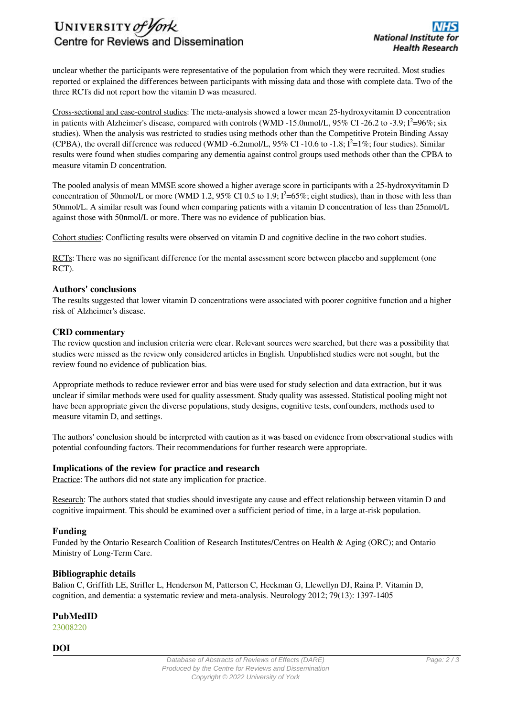

unclear whether the participants were representative of the population from which they were recruited. Most studies reported or explained the differences between participants with missing data and those with complete data. Two of the three RCTs did not report how the vitamin D was measured.

Cross-sectional and case-control studies: The meta-analysis showed a lower mean 25-hydroxyvitamin D concentration in patients with Alzheimer's disease, compared with controls (WMD -15.0nmol/L,  $95\%$  CI -26.2 to -3.9;  $I^2=96\%$ ; six studies). When the analysis was restricted to studies using methods other than the Competitive Protein Binding Assay (CPBA), the overall difference was reduced (WMD -6.2nmol/L,  $95\%$  CI -10.6 to -1.8;  $I^2=1\%$ ; four studies). Similar results were found when studies comparing any dementia against control groups used methods other than the CPBA to measure vitamin D concentration.

The pooled analysis of mean MMSE score showed a higher average score in participants with a 25-hydroxyvitamin D concentration of 50nmol/L or more (WMD 1.2, 95% CI 0.5 to 1.9;  $I^2$ =65%; eight studies), than in those with less than 50nmol/L. A similar result was found when comparing patients with a vitamin D concentration of less than 25nmol/L against those with 50nmol/L or more. There was no evidence of publication bias.

Cohort studies: Conflicting results were observed on vitamin D and cognitive decline in the two cohort studies.

RCTs: There was no significant difference for the mental assessment score between placebo and supplement (one RCT).

### **Authors' conclusions**

The results suggested that lower vitamin D concentrations were associated with poorer cognitive function and a higher risk of Alzheimer's disease.

#### **CRD commentary**

The review question and inclusion criteria were clear. Relevant sources were searched, but there was a possibility that studies were missed as the review only considered articles in English. Unpublished studies were not sought, but the review found no evidence of publication bias.

Appropriate methods to reduce reviewer error and bias were used for study selection and data extraction, but it was unclear if similar methods were used for quality assessment. Study quality was assessed. Statistical pooling might not have been appropriate given the diverse populations, study designs, cognitive tests, confounders, methods used to measure vitamin D, and settings.

The authors' conclusion should be interpreted with caution as it was based on evidence from observational studies with potential confounding factors. Their recommendations for further research were appropriate.

### **Implications of the review for practice and research**

Practice: The authors did not state any implication for practice.

Research: The authors stated that studies should investigate any cause and effect relationship between vitamin D and cognitive impairment. This should be examined over a sufficient period of time, in a large at-risk population.

### **Funding**

Funded by the Ontario Research Coalition of Research Institutes/Centres on Health & Aging (ORC); and Ontario Ministry of Long-Term Care.

### **Bibliographic details**

Balion C, Griffith LE, Strifler L, Henderson M, Patterson C, Heckman G, Llewellyn DJ, Raina P. Vitamin D, cognition, and dementia: a systematic review and meta-analysis. Neurology 2012; 79(13): 1397-1405

### **PubMedID**

[23008220](http://www.ncbi.nlm.nih.gov/pubmed?term=23008220)

**DOI**